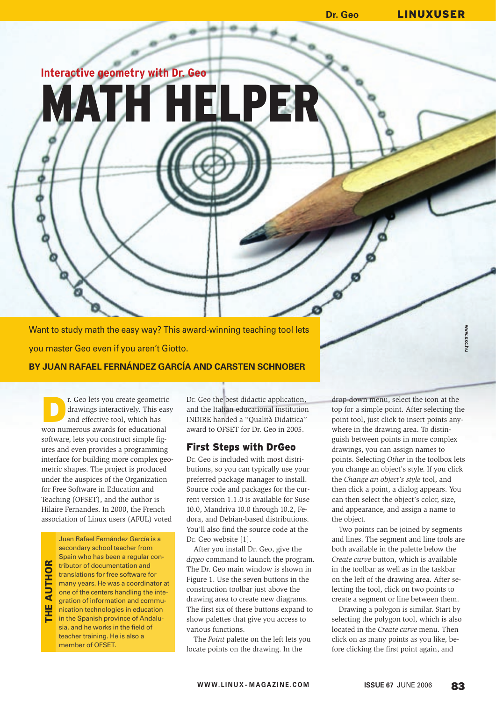# **Dr. Geo** LINUXUSER

**Interactive geometry with Dr. Geo**

EI PE

Want to study math the easy way? This award-winning teaching tool lets you master Geo even if you aren't Giotto.

## **BY JUAN RAFAEL FERNÁNDEZ GARCÍA AND CARSTEN SCHNOBER**

**DEREVIED SECUTE:** CHE CONDUCTED AT A CHE CONDUCTED AND A CHE CONDUCTED AND REPORT ON A CHE CONDUCTED AND REPORT OF  $\frac{1}{2}$ drawings interactively. This easy won numerous awards for educational software, lets you construct simple figures and even provides a programming interface for building more complex geometric shapes. The project is produced under the auspices of the Organization for Free Software in Education and Teaching (OFSET), and the author is Hilaire Fernandes. In 2000, the French association of Linux users (AFUL) voted

THE AUTHOR **AUTHO** <u>뿐</u>

Juan Rafael Fernández García is a secondary school teacher from Spain who has been a regular contributor of documentation and translations for free software for many years. He was a coordinator at one of the centers handling the integration of information and communication technologies in education in the Spanish province of Andalusia, and he works in the field of teacher training. He is also a member of OFSET.

Dr. Geo the best didactic application, and the Italian educational institution INDIRE handed a "Qualità Didattica" award to OFSET for Dr. Geo in 2005.

## First Steps with DrGeo

Dr. Geo is included with most distributions, so you can typically use your preferred package manager to install. Source code and packages for the current version 1.1.0 is available for Suse 10.0, Mandriva 10.0 through 10.2, Fedora, and Debian-based distributions. You'll also find the source code at the Dr. Geo website [1].

After you install Dr. Geo, give the *drgeo* command to launch the program. The Dr. Geo main window is shown in Figure 1. Use the seven buttons in the construction toolbar just above the drawing area to create new diagrams. The first six of these buttons expand to show palettes that give you access to various functions.

The *Point* palette on the left lets you locate points on the drawing. In the

drop-down menu, select the icon at the top for a simple point. After selecting the point tool, just click to insert points anywhere in the drawing area. To distinguish between points in more complex drawings, you can assign names to points. Selecting *Other* in the toolbox lets you change an object's style. If you click the *Change an object's style* tool, and then click a point, a dialog appears. You can then select the object's color, size, and appearance, and assign a name to the object.

**www.sxc.hu**

Two points can be joined by segments and lines. The segment and line tools are both available in the palette below the *Create curve* button, which is available in the toolbar as well as in the taskbar on the left of the drawing area. After selecting the tool, click on two points to create a segment or line between them.

Drawing a polygon is similar. Start by selecting the polygon tool, which is also located in the *Create curve* menu. Then click on as many points as you like, before clicking the first point again, and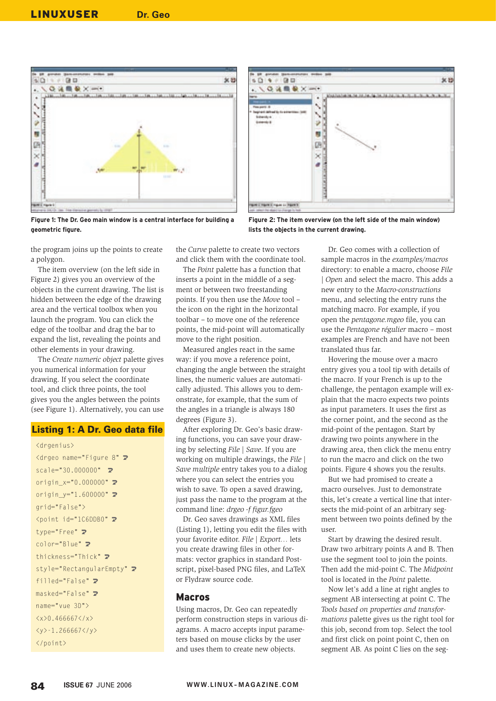



**Figure 1: The Dr. Geo main window is a central interface for building a geometric figure.**

**Figure 2: The item overview (on the left side of the main window) lists the objects in the current drawing.**

the program joins up the points to create a polygon.

The item overview (on the left side in Figure 2) gives you an overview of the objects in the current drawing. The list is hidden between the edge of the drawing area and the vertical toolbox when you launch the program. You can click the edge of the toolbar and drag the bar to expand the list, revealing the points and other elements in your drawing.

The *Create numeric object* palette gives you numerical information for your drawing. If you select the coordinate tool, and click three points, the tool gives you the angles between the points (see Figure 1). Alternatively, you can use

#### Listing 1: A Dr. Geo data file

```
<drgenius>
<drgeo name="Figure 8" U
scale="30.000000" \blacktrianglerightorigin_x="0.000000" \trianglerightorigin_y="1.600000" \trianglerightgrid="False">
\zetapoint id="1C6DDB0" \blacktrianglerighttype="Free" Z
color="Blue" 2
thickness="Thick" \trianglerightstyle="RectangularEmpty" 2
filled="False" 2
masked="False" 2
name="vue 3D">
\langle x \rangle 0.466667 \langle x \rangle\langle y \rangle - 1.266667 \langle y \rangle</point>
```
the *Curve* palette to create two vectors and click them with the coordinate tool.

The *Point* palette has a function that inserts a point in the middle of a segment or between two freestanding points. If you then use the *Move* tool – the icon on the right in the horizontal toolbar – to move one of the reference points, the mid-point will automatically move to the right position.

Measured angles react in the same way: if you move a reference point, changing the angle between the straight lines, the numeric values are automatically adjusted. This allows you to demonstrate, for example, that the sum of the angles in a triangle is always 180 degrees (Figure 3).

After exploring Dr. Geo's basic drawing functions, you can save your drawing by selecting *File | Save*. If you are working on multiple drawings, the *File | Save multiple* entry takes you to a dialog where you can select the entries you wish to save. To open a saved drawing, just pass the name to the program at the command line: *drgeo -f figur.fgeo*

Dr. Geo saves drawings as XML files (Listing 1), letting you edit the files with your favorite editor. *File | Export…* lets you create drawing files in other formats: vector graphics in standard Postscript, pixel-based PNG files, and LaTeX or Flydraw source code.

#### Macros

Using macros, Dr. Geo can repeatedly perform construction steps in various diagrams. A macro accepts input parameters based on mouse clicks by the user and uses them to create new objects.

Dr. Geo comes with a collection of sample macros in the *examples/macros* directory: to enable a macro, choose *File | Open* and select the macro. This adds a new entry to the *Macro-constructions* menu, and selecting the entry runs the matching macro. For example, if you open the *pentagone.mgeo* file, you can use the *Pentagone régulier* macro – most examples are French and have not been translated thus far.

Hovering the mouse over a macro entry gives you a tool tip with details of the macro. If your French is up to the challenge, the pentagon example will explain that the macro expects two points as input parameters. It uses the first as the corner point, and the second as the mid-point of the pentagon. Start by drawing two points anywhere in the drawing area, then click the menu entry to run the macro and click on the two points. Figure 4 shows you the results.

But we had promised to create a macro ourselves. Just to demonstrate this, let's create a vertical line that intersects the mid-point of an arbitrary segment between two points defined by the user.

Start by drawing the desired result. Draw two arbitrary points A and B. Then use the segment tool to join the points. Then add the mid-point C. The *Midpoint* tool is located in the *Point* palette.

Now let's add a line at right angles to segment AB intersecting at point C. The *Tools based on properties and transformations* palette gives us the right tool for this job, second from top. Select the tool and first click on point point C, then on segment AB. As point C lies on the seg-